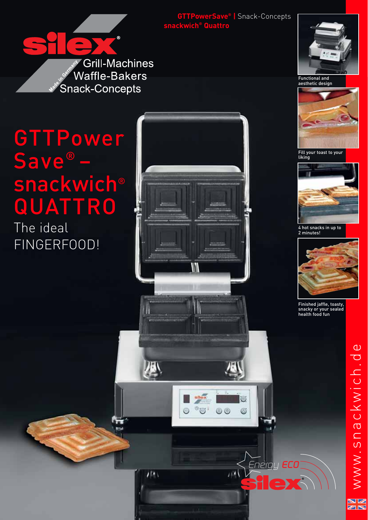

GTTPower

snackwich®

QUATTRO

FINGERFOOD!

Save® –

The ideal

**GTTPowerSave® |** Snack-Concepts **snackwich® Quattro**



Functional and aesthetic design



Fill your toast to your liking



4 hot snacks in up to 2 minutes!



Finished jaffle, toasty, snacky or your sealed health food fun

*Energy ECO*

U

G

(B)

直い

00